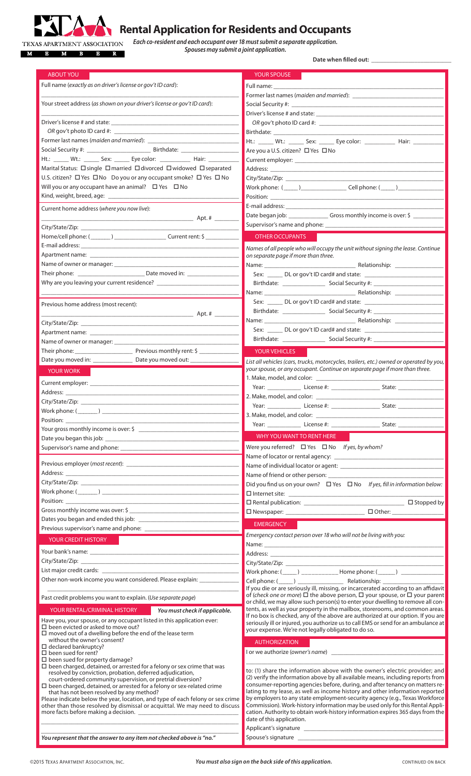

## **Rental Application for Residents and Occupants**

**Each co-resident and each occupant over 18 must submit a separate application.**

**Spouses may submit a joint application.**

Date when **filled** out:

| <b>ABOUT YOU</b>                                                                                                                                                                                                               |                               | <b>YOUR SPOUSE</b>                                                                                                                                                                                                             |               |
|--------------------------------------------------------------------------------------------------------------------------------------------------------------------------------------------------------------------------------|-------------------------------|--------------------------------------------------------------------------------------------------------------------------------------------------------------------------------------------------------------------------------|---------------|
| Full name (exactly as on driver's license or gov't ID card):                                                                                                                                                                   |                               | Full name: The control of the control of the control of the control of the control of the control of the control of the control of the control of the control of the control of the control of the control of the control of t |               |
|                                                                                                                                                                                                                                |                               |                                                                                                                                                                                                                                |               |
| Your street address (as shown on your driver's license or gov't ID card):                                                                                                                                                      |                               |                                                                                                                                                                                                                                |               |
|                                                                                                                                                                                                                                |                               |                                                                                                                                                                                                                                |               |
|                                                                                                                                                                                                                                |                               |                                                                                                                                                                                                                                |               |
| OR gov't photo ID card #:                                                                                                                                                                                                      |                               |                                                                                                                                                                                                                                |               |
|                                                                                                                                                                                                                                |                               | Ht.: ______ Wt.: _______ Sex: _______ Eye color: ______________ Hair: ___________                                                                                                                                              |               |
| Social Security #: Social Security #: Social Security #: Social Security #: Social Security #: Social Security                                                                                                                 |                               | Are you a U.S. citizen? □ Yes □ No                                                                                                                                                                                             |               |
| Ht.: Wt.: Sex: Eye color: Hair:                                                                                                                                                                                                |                               |                                                                                                                                                                                                                                |               |
| Marital Status: □ single □ married □ divorced □ widowed □ separated                                                                                                                                                            |                               |                                                                                                                                                                                                                                |               |
| U.S. citizen? □ Yes □ No Do you or any occupant smoke? □ Yes □ No                                                                                                                                                              |                               |                                                                                                                                                                                                                                |               |
| Will you or any occupant have an animal? $\Box$ Yes $\Box$ No                                                                                                                                                                  |                               |                                                                                                                                                                                                                                |               |
|                                                                                                                                                                                                                                |                               |                                                                                                                                                                                                                                |               |
| Current home address (where you now live):                                                                                                                                                                                     |                               |                                                                                                                                                                                                                                |               |
|                                                                                                                                                                                                                                |                               | Date began job: _________________Gross monthly income is over: \$ ______________                                                                                                                                               |               |
|                                                                                                                                                                                                                                |                               |                                                                                                                                                                                                                                |               |
|                                                                                                                                                                                                                                |                               | <b>OTHER OCCUPANTS</b>                                                                                                                                                                                                         |               |
|                                                                                                                                                                                                                                |                               |                                                                                                                                                                                                                                |               |
|                                                                                                                                                                                                                                |                               | Names of all people who will occupy the unit without signing the lease. Continue<br>on separate page if more than three.                                                                                                       |               |
|                                                                                                                                                                                                                                |                               |                                                                                                                                                                                                                                |               |
|                                                                                                                                                                                                                                |                               |                                                                                                                                                                                                                                |               |
|                                                                                                                                                                                                                                |                               |                                                                                                                                                                                                                                |               |
|                                                                                                                                                                                                                                |                               | Name: Name: Name Relationship:                                                                                                                                                                                                 |               |
| Previous home address (most recent):                                                                                                                                                                                           |                               |                                                                                                                                                                                                                                |               |
|                                                                                                                                                                                                                                |                               |                                                                                                                                                                                                                                |               |
|                                                                                                                                                                                                                                |                               | Name: Name: Name Relationship:                                                                                                                                                                                                 |               |
|                                                                                                                                                                                                                                |                               |                                                                                                                                                                                                                                |               |
| Name of owner or manager: ____________                                                                                                                                                                                         |                               |                                                                                                                                                                                                                                |               |
|                                                                                                                                                                                                                                |                               |                                                                                                                                                                                                                                |               |
|                                                                                                                                                                                                                                |                               | <b>YOUR VEHICLES</b>                                                                                                                                                                                                           |               |
|                                                                                                                                                                                                                                |                               | List all vehicles (cars, trucks, motorcycles, trailers, etc.) owned or operated by you,<br>your spouse, or any occupant. Continue on separate page if more than three.                                                         |               |
| <b>YOUR WORK</b>                                                                                                                                                                                                               |                               |                                                                                                                                                                                                                                |               |
|                                                                                                                                                                                                                                |                               |                                                                                                                                                                                                                                |               |
|                                                                                                                                                                                                                                |                               |                                                                                                                                                                                                                                |               |
|                                                                                                                                                                                                                                |                               |                                                                                                                                                                                                                                |               |
|                                                                                                                                                                                                                                |                               |                                                                                                                                                                                                                                |               |
| Work phone: $(\_\_ )$                                                                                                                                                                                                          |                               |                                                                                                                                                                                                                                |               |
| Position:                                                                                                                                                                                                                      |                               | 3. Make, model, and color: _                                                                                                                                                                                                   |               |
|                                                                                                                                                                                                                                |                               |                                                                                                                                                                                                                                | State: $\_\_$ |
| Date you began this job: _                                                                                                                                                                                                     |                               | WHY YOU WANT TO RENT HERE                                                                                                                                                                                                      |               |
|                                                                                                                                                                                                                                |                               | Were you referred? $\Box$ Yes $\Box$ No If yes, by whom?                                                                                                                                                                       |               |
|                                                                                                                                                                                                                                |                               |                                                                                                                                                                                                                                |               |
|                                                                                                                                                                                                                                |                               |                                                                                                                                                                                                                                |               |
|                                                                                                                                                                                                                                |                               |                                                                                                                                                                                                                                |               |
|                                                                                                                                                                                                                                |                               | Did you find us on your own? $\Box$ Yes $\Box$ No If yes, fill in information below:                                                                                                                                           |               |
|                                                                                                                                                                                                                                |                               |                                                                                                                                                                                                                                |               |
| Position: New York Position and the Contract of the Contract of the Contract of the Contract of the Contract of the Contract of the Contract of the Contract of the Contract of the Contract of the Contract of the Contract o |                               |                                                                                                                                                                                                                                |               |
|                                                                                                                                                                                                                                |                               |                                                                                                                                                                                                                                |               |
|                                                                                                                                                                                                                                |                               | <b>EMERGENCY</b>                                                                                                                                                                                                               |               |
| Previous supervisor's name and phone: ___________                                                                                                                                                                              |                               |                                                                                                                                                                                                                                |               |
| YOUR CREDIT HISTORY                                                                                                                                                                                                            |                               | Emergency contact person over 18 who will not be living with you:                                                                                                                                                              |               |
|                                                                                                                                                                                                                                |                               |                                                                                                                                                                                                                                |               |
|                                                                                                                                                                                                                                |                               |                                                                                                                                                                                                                                |               |
|                                                                                                                                                                                                                                |                               |                                                                                                                                                                                                                                |               |
| Other non-work income you want considered. Please explain: _____________                                                                                                                                                       |                               | Work phone: (_____) ____________ Home phone: (______) ___________                                                                                                                                                              |               |
|                                                                                                                                                                                                                                |                               | If you die or are seriously ill, missing, or incarcerated according to an affidavit                                                                                                                                            |               |
| Past credit problems you want to explain. (Use separate page)                                                                                                                                                                  |                               | of (check one or more) $\Box$ the above person, $\Box$ your spouse, or $\Box$ your parent                                                                                                                                      |               |
|                                                                                                                                                                                                                                |                               | or child, we may allow such person(s) to enter your dwelling to remove all con-                                                                                                                                                |               |
| YOUR RENTAL/CRIMINAL HISTORY                                                                                                                                                                                                   | You must check if applicable. | tents, as well as your property in the mailbox, storerooms, and common areas.<br>If no box is checked, any of the above are authorized at our option. If you are                                                               |               |
| Have you, your spouse, or any occupant listed in this application ever:<br>$\Box$ been evicted or asked to move out?                                                                                                           |                               | seriously ill or injured, you authorize us to call EMS or send for an ambulance at                                                                                                                                             |               |
| $\Box$ moved out of a dwelling before the end of the lease term                                                                                                                                                                |                               | your expense. We're not legally obligated to do so.                                                                                                                                                                            |               |
| without the owner's consent?                                                                                                                                                                                                   |                               | <b>AUTHORIZATION</b>                                                                                                                                                                                                           |               |
| $\Box$ declared bankruptcy?<br>$\square$ been sued for rent?                                                                                                                                                                   |                               | I or we authorize (owner's name)                                                                                                                                                                                               |               |
| $\square$ been sued for property damage?                                                                                                                                                                                       |                               |                                                                                                                                                                                                                                |               |
| $\square$ been charged, detained, or arrested for a felony or sex crime that was                                                                                                                                               |                               | to: (1) share the information above with the owner's electric provider; and                                                                                                                                                    |               |
| resolved by conviction, probation, deferred adjudication,<br>court-ordered community supervision, or pretrial diversion?                                                                                                       |                               | (2) verify the information above by all available means, including reports from                                                                                                                                                |               |
| $\Box$ been charged, detained, or arrested for a felony or sex-related crime                                                                                                                                                   |                               | consumer-reporting agencies before, during, and after tenancy on matters re-<br>lating to my lease, as well as income history and other information reported                                                                   |               |
| that has not been resolved by any method?<br>Please indicate below the year, location, and type of each felony or sex crime                                                                                                    |                               | by employers to any state employment-security agency (e.g., Texas Workforce                                                                                                                                                    |               |
| other than those resolved by dismissal or acquittal. We may need to discuss                                                                                                                                                    |                               | Commission). Work-history information may be used only for this Rental Appli-                                                                                                                                                  |               |
|                                                                                                                                                                                                                                |                               | cation. Authority to obtain work-history information expires 365 days from the                                                                                                                                                 |               |
|                                                                                                                                                                                                                                |                               | date of this application.<br>Applicant's signature                                                                                                                                                                             |               |